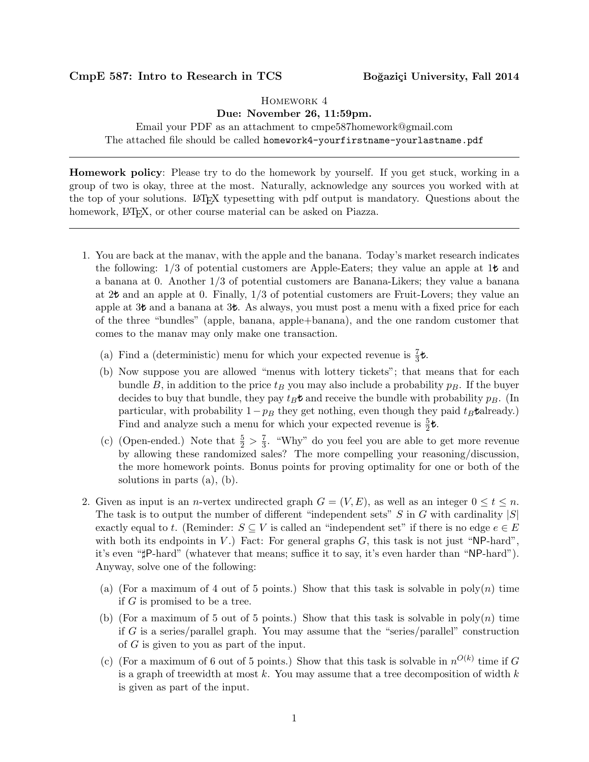## CmpE 587: Intro to Research in TCS Boğaziçi University, Fall 2014

## Homework 4

## Due: November 26, 11:59pm.

Email your PDF as an attachment to cmpe587homework@gmail.com The attached file should be called homework4-yourfirstname-yourlastname.pdf

Homework policy: Please try to do the homework by yourself. If you get stuck, working in a group of two is okay, three at the most. Naturally, acknowledge any sources you worked with at the top of your solutions. LATEX typesetting with pdf output is mandatory. Questions about the homework, L<sup>A</sup>T<sub>E</sub>X, or other course material can be asked on Piazza.

- 1. You are back at the manav, with the apple and the banana. Today's market research indicates the following:  $1/3$  of potential customers are Apple-Eaters; they value an apple at  $1\text{\textsterling}$  and a banana at 0. Another 1/3 of potential customers are Banana-Likers; they value a banana at  $2\mathbf{t}$  and an apple at 0. Finally,  $1/3$  of potential customers are Fruit-Lovers; they value an apple at  $3\mathbf{t}$  and a banana at  $3\mathbf{t}$ . As always, you must post a menu with a fixed price for each of the three "bundles" (apple, banana, apple+banana), and the one random customer that comes to the manav may only make one transaction.
	- (a) Find a (deterministic) menu for which your expected revenue is  $\frac{7}{3}t$ .
	- (b) Now suppose you are allowed "menus with lottery tickets"; that means that for each bundle B, in addition to the price  $t_B$  you may also include a probability  $p_B$ . If the buyer decides to buy that bundle, they pay  $t_B t$  and receive the bundle with probability  $p_B$ . (In particular, with probability  $1-p_B$  they get nothing, even though they paid  $t_B$  already.) Find and analyze such a menu for which your expected revenue is  $\frac{5}{2}$ *t*.
	- (c) (Open-ended.) Note that  $\frac{5}{2} > \frac{7}{3}$  $\frac{7}{3}$ . "Why" do you feel you are able to get more revenue by allowing these randomized sales? The more compelling your reasoning/discussion, the more homework points. Bonus points for proving optimality for one or both of the solutions in parts (a), (b).
- 2. Given as input is an *n*-vertex undirected graph  $G = (V, E)$ , as well as an integer  $0 \le t \le n$ . The task is to output the number of different "independent sets"  $S$  in  $G$  with cardinality  $|S|$ exactly equal to t. (Reminder:  $S \subseteq V$  is called an "independent set" if there is no edge  $e \in E$ with both its endpoints in  $V$ .) Fact: For general graphs  $G$ , this task is not just "NP-hard", it's even "#P-hard" (whatever that means; suffice it to say, it's even harder than "NP-hard"). Anyway, solve one of the following:
	- (a) (For a maximum of 4 out of 5 points.) Show that this task is solvable in  $\text{poly}(n)$  time if G is promised to be a tree.
	- (b) (For a maximum of 5 out of 5 points.) Show that this task is solvable in  $poly(n)$  time if G is a series/parallel graph. You may assume that the "series/parallel" construction of G is given to you as part of the input.
	- (c) (For a maximum of 6 out of 5 points.) Show that this task is solvable in  $n^{O(k)}$  time if G is a graph of treewidth at most k. You may assume that a tree decomposition of width  $k$ is given as part of the input.